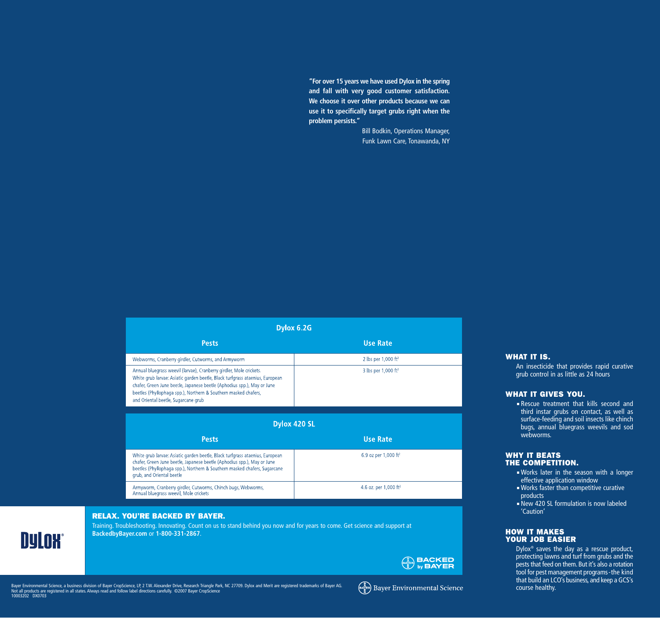**"For over 15 years we have used Dylox in the spring and fall with very good customer satisfaction. We choose it over other products because we can use it to specifically target grubs right when the problem persists."**

> Bill Bodkin, Operations Manager, Funk Lawn Care, Tonawanda, NY

| DVIOX 6.ZG                                                                                                                                                                                                                                                                                                                               |                                   |  |  |  |
|------------------------------------------------------------------------------------------------------------------------------------------------------------------------------------------------------------------------------------------------------------------------------------------------------------------------------------------|-----------------------------------|--|--|--|
| <b>Pests</b>                                                                                                                                                                                                                                                                                                                             | <b>Use Rate</b>                   |  |  |  |
| Webworms, Cranberry girdler, Cutworms, and Armyworm                                                                                                                                                                                                                                                                                      | 2 lbs per $1,000$ ft <sup>2</sup> |  |  |  |
| Annual bluegrass weevil (larvae), Cranberry girdler, Mole crickets.<br>White grub larvae: Asiatic garden beetle, Black turfgrass ataenius, European<br>chafer, Green June beetle, Japanese beetle (Aphodius spp.), May or June<br>beetles (Phyllophaga spp.), Northern & Southern masked chafers,<br>and Oriental beetle, Sugarcane grub | 3 lbs per $1,000$ ft <sup>2</sup> |  |  |  |
| Dylox 420 SL                                                                                                                                                                                                                                                                                                                             |                                   |  |  |  |
| <b>Pests</b>                                                                                                                                                                                                                                                                                                                             | <b>Use Rate</b>                   |  |  |  |
| White grub larvae: Asiatic garden beetle, Black turfgrass ataenius, European                                                                                                                                                                                                                                                             | 6.9 oz per 1,000 ft <sup>2</sup>  |  |  |  |

| <b>Ilco Rata</b> |  |  |
|------------------|--|--|

4.6 oz. per 1,000 ft<sup>2</sup>

| <b>WHY IT BEATS</b> |                         |
|---------------------|-------------------------|
|                     | <b>THE COMPETITION.</b> |

webworms.

WHAT IT GIVES YOU.

WHAT IT IS.

Works later in the season with a longer effective application window

An insecticide that provides rapid curative grub control in as little as 24 hours

Rescue treatment that kills second and third instar grubs on contact, as well as surface-feeding and soil insects like chinch bugs, annual bluegrass weevils and sod

- Works faster than competitive curative products
- New 420 SL formulation is now labeled 'Caution'

# HOW IT MAKES YOUR JOB EASIER

Dylox® saves the day as a rescue product, protecting lawns and turf from grubs and the pests that feed on them. But it's also a rotation tool for pest management programs-the kind that build an LCO's business, and keep a GCS's

RELAX. YOU'RE BACKED BY BAYER.

Annual bluegrass weevil, Mole crickets

grub, and Oriental beetle



Training. Troubleshooting. Innovating. Count on us to stand behind you now and for years to come. Get science and support at **BackedbyBayer.com** or **1-800-331-2867**.



Bayer Environmental Science, a business division of Bayer CropScience, LP, 2 T.W. Alexander Drive, Research Triangle Park, NC 27709. Dylox and Merit are registered trademarks of Bayer AG. (موهجه المسلمة المسلمة المسلمة ال 10003202 DX0703

chafer, Green June beetle, Japanese beetle (Aphodius spp.), May or June beetles (Phyllophaga spp.), Northern & Southern masked chafers, Sugarcane

Armyworm, Cranberry girdler, Cutworms, Chinch bugs, Webworms,